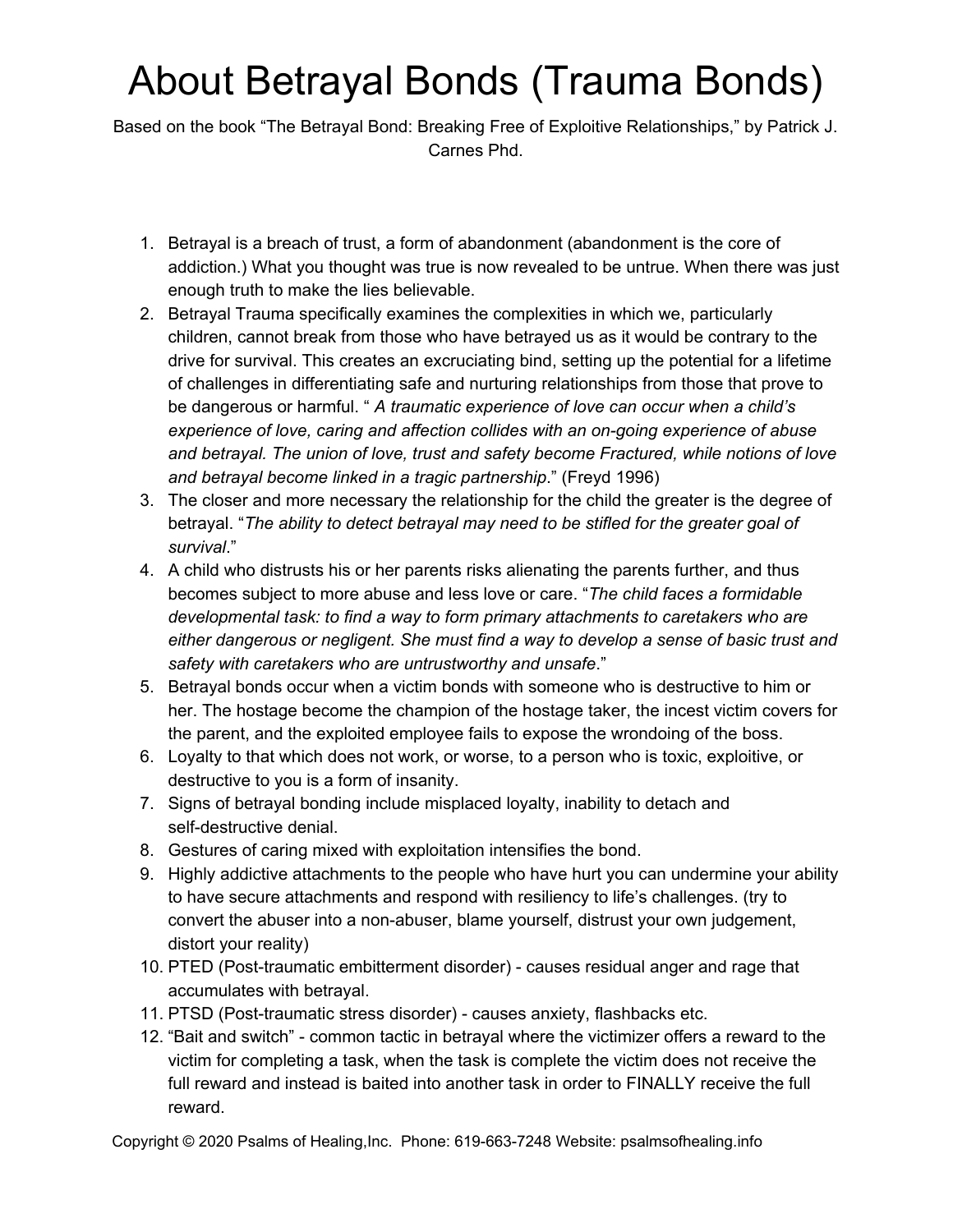# About Betrayal Bonds (Trauma Bonds)

Based on the book "The Betrayal Bond: Breaking Free of Exploitive Relationships," by Patrick J. Carnes Phd.

- 1. Betrayal is a breach of trust, a form of abandonment (abandonment is the core of addiction.) What you thought was true is now revealed to be untrue. When there was just enough truth to make the lies believable.
- 2. Betrayal Trauma specifically examines the complexities in which we, particularly children, cannot break from those who have betrayed us as it would be contrary to the drive for survival. This creates an excruciating bind, setting up the potential for a lifetime of challenges in differentiating safe and nurturing relationships from those that prove to be dangerous or harmful. " *A traumatic experience of love can occur when a child's experience of love, caring and affection collides with an on-going experience of abuse and betrayal. The union of love, trust and safety become Fractured, while notions of love and betrayal become linked in a tragic partnership*." (Freyd 1996)
- 3. The closer and more necessary the relationship for the child the greater is the degree of betrayal. "*The ability to detect betrayal may need to be stifled for the greater goal of survival*."
- 4. A child who distrusts his or her parents risks alienating the parents further, and thus becomes subject to more abuse and less love or care. "*The child faces a formidable developmental task: to find a way to form primary attachments to caretakers who are either dangerous or negligent. She must find a way to develop a sense of basic trust and safety with caretakers who are untrustworthy and unsafe*."
- 5. Betrayal bonds occur when a victim bonds with someone who is destructive to him or her. The hostage become the champion of the hostage taker, the incest victim covers for the parent, and the exploited employee fails to expose the wrondoing of the boss.
- 6. Loyalty to that which does not work, or worse, to a person who is toxic, exploitive, or destructive to you is a form of insanity.
- 7. Signs of betrayal bonding include misplaced loyalty, inability to detach and self-destructive denial.
- 8. Gestures of caring mixed with exploitation intensifies the bond.
- 9. Highly addictive attachments to the people who have hurt you can undermine your ability to have secure attachments and respond with resiliency to life's challenges. (try to convert the abuser into a non-abuser, blame yourself, distrust your own judgement, distort your reality)
- 10. PTED (Post-traumatic embitterment disorder) causes residual anger and rage that accumulates with betrayal.
- 11. PTSD (Post-traumatic stress disorder) causes anxiety, flashbacks etc.
- 12. "Bait and switch" common tactic in betrayal where the victimizer offers a reward to the victim for completing a task, when the task is complete the victim does not receive the full reward and instead is baited into another task in order to FINALLY receive the full reward.

Copyright © 2020 Psalms of Healing,Inc. Phone: 619-663-7248 Website: psalmsofhealing.info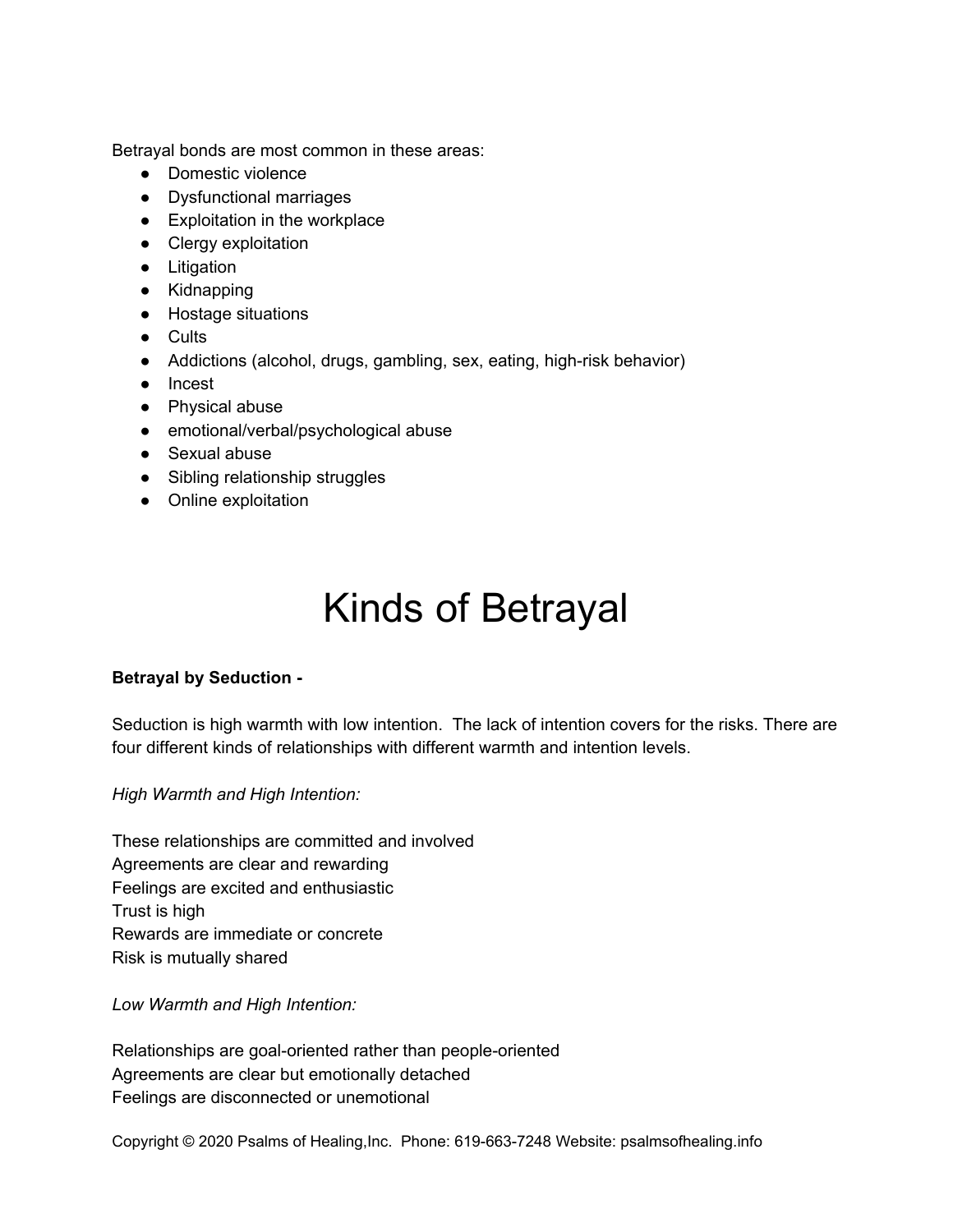Betrayal bonds are most common in these areas:

- Domestic violence
- Dysfunctional marriages
- Exploitation in the workplace
- Clergy exploitation
- Litigation
- Kidnapping
- Hostage situations
- Cults
- Addictions (alcohol, drugs, gambling, sex, eating, high-risk behavior)
- Incest
- Physical abuse
- emotional/verbal/psychological abuse
- Sexual abuse
- Sibling relationship struggles
- Online exploitation

## Kinds of Betrayal

#### **Betrayal by Seduction -**

Seduction is high warmth with low intention. The lack of intention covers for the risks. There are four different kinds of relationships with different warmth and intention levels.

*High Warmth and High Intention:*

These relationships are committed and involved Agreements are clear and rewarding Feelings are excited and enthusiastic Trust is high Rewards are immediate or concrete Risk is mutually shared

*Low Warmth and High Intention:*

Relationships are goal-oriented rather than people-oriented Agreements are clear but emotionally detached Feelings are disconnected or unemotional

Copyright © 2020 Psalms of Healing,Inc. Phone: 619-663-7248 Website: psalmsofhealing.info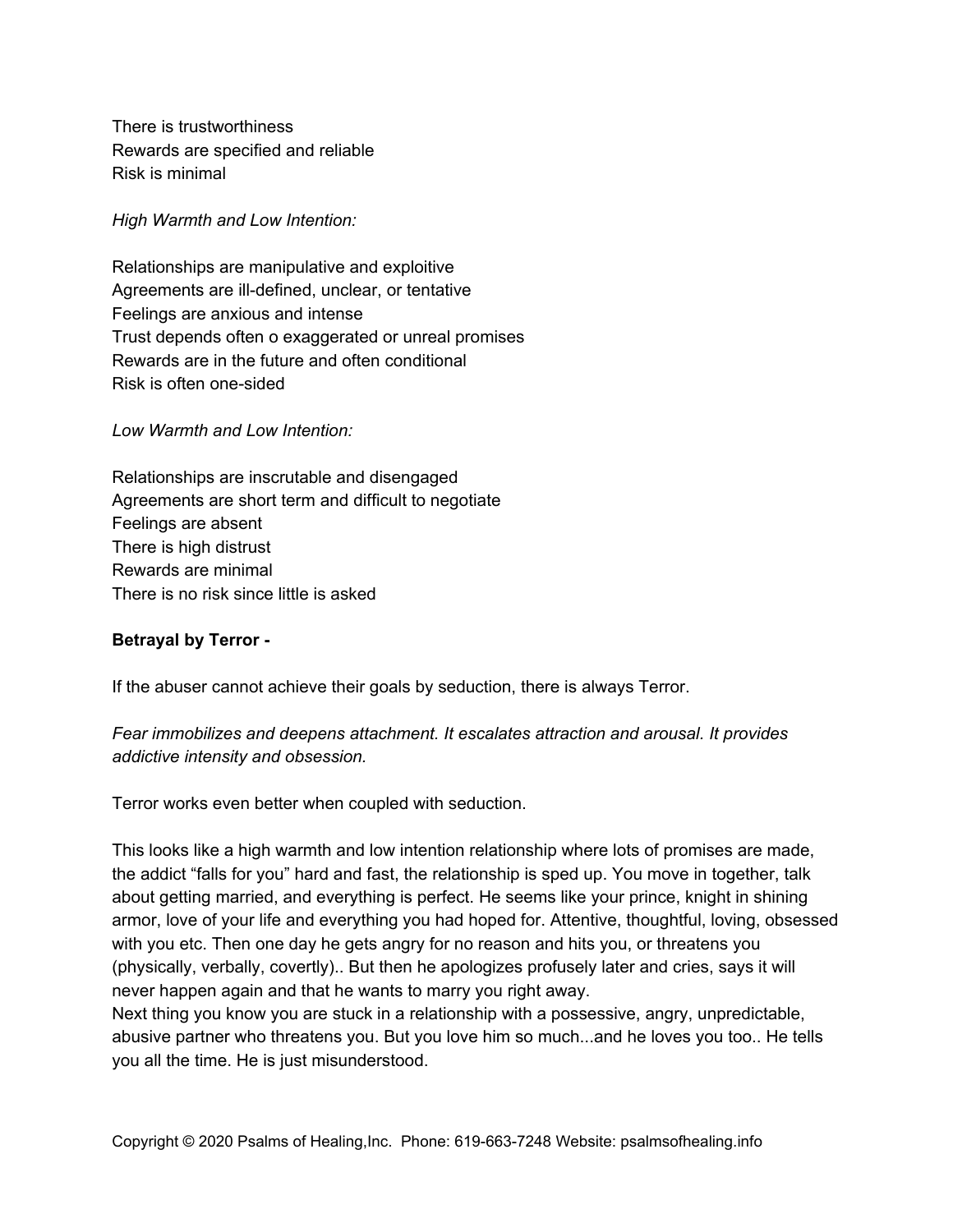There is trustworthiness Rewards are specified and reliable Risk is minimal

*High Warmth and Low Intention:*

Relationships are manipulative and exploitive Agreements are ill-defined, unclear, or tentative Feelings are anxious and intense Trust depends often o exaggerated or unreal promises Rewards are in the future and often conditional Risk is often one-sided

*Low Warmth and Low Intention:*

Relationships are inscrutable and disengaged Agreements are short term and difficult to negotiate Feelings are absent There is high distrust Rewards are minimal There is no risk since little is asked

#### **Betrayal by Terror -**

If the abuser cannot achieve their goals by seduction, there is always Terror.

*Fear immobilizes and deepens attachment. It escalates attraction and arousal. It provides addictive intensity and obsession.*

Terror works even better when coupled with seduction.

This looks like a high warmth and low intention relationship where lots of promises are made, the addict "falls for you" hard and fast, the relationship is sped up. You move in together, talk about getting married, and everything is perfect. He seems like your prince, knight in shining armor, love of your life and everything you had hoped for. Attentive, thoughtful, loving, obsessed with you etc. Then one day he gets angry for no reason and hits you, or threatens you (physically, verbally, covertly).. But then he apologizes profusely later and cries, says it will never happen again and that he wants to marry you right away.

Next thing you know you are stuck in a relationship with a possessive, angry, unpredictable, abusive partner who threatens you. But you love him so much...and he loves you too.. He tells you all the time. He is just misunderstood.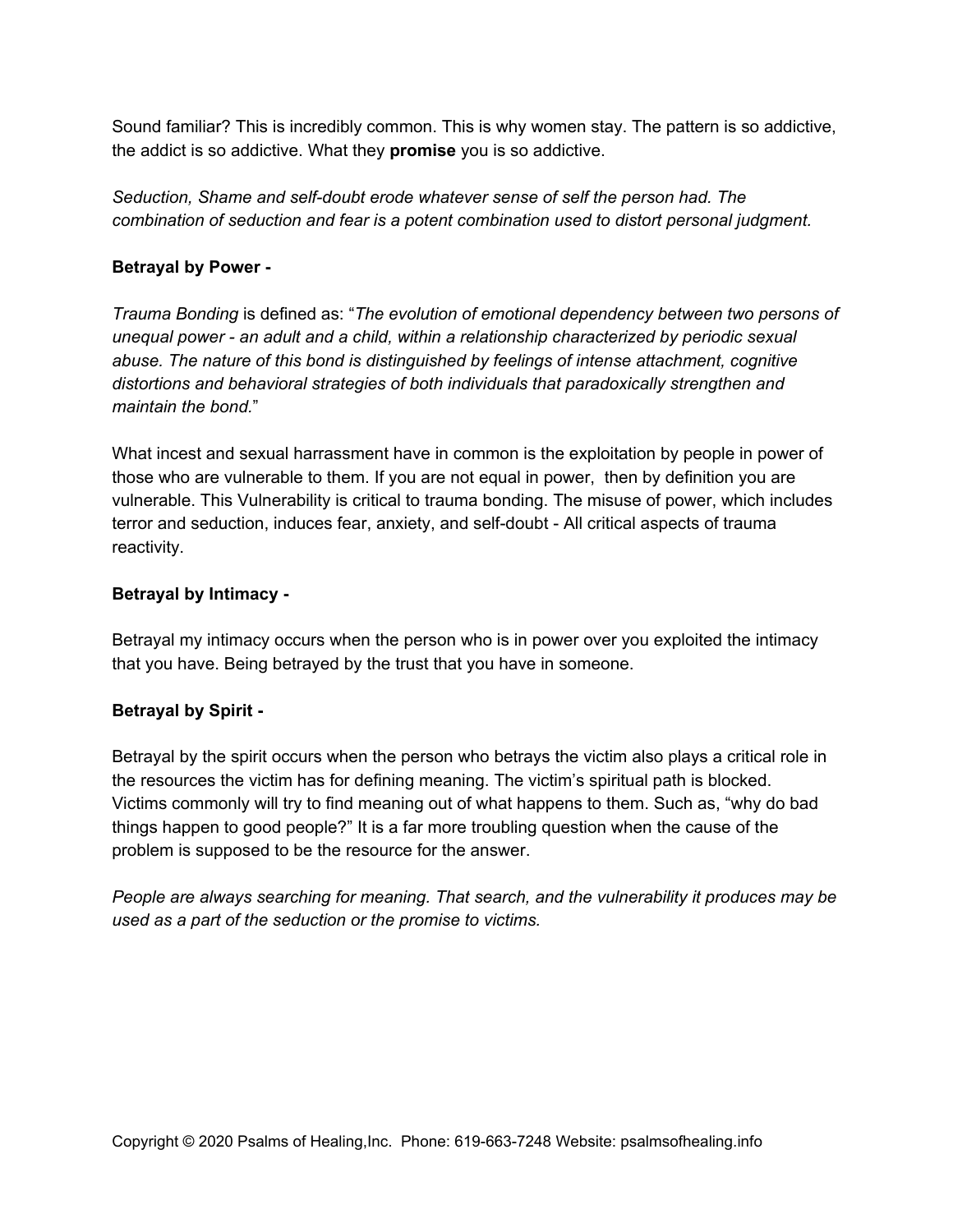Sound familiar? This is incredibly common. This is why women stay. The pattern is so addictive, the addict is so addictive. What they **promise** you is so addictive.

*Seduction, Shame and self-doubt erode whatever sense of self the person had. The combination of seduction and fear is a potent combination used to distort personal judgment.*

#### **Betrayal by Power -**

*Trauma Bonding* is defined as: "*The evolution of emotional dependency between two persons of unequal power - an adult and a child, within a relationship characterized by periodic sexual abuse. The nature of this bond is distinguished by feelings of intense attachment, cognitive distortions and behavioral strategies of both individuals that paradoxically strengthen and maintain the bond.*"

What incest and sexual harrassment have in common is the exploitation by people in power of those who are vulnerable to them. If you are not equal in power, then by definition you are vulnerable. This Vulnerability is critical to trauma bonding. The misuse of power, which includes terror and seduction, induces fear, anxiety, and self-doubt - All critical aspects of trauma reactivity.

#### **Betrayal by Intimacy -**

Betrayal my intimacy occurs when the person who is in power over you exploited the intimacy that you have. Being betrayed by the trust that you have in someone.

#### **Betrayal by Spirit -**

Betrayal by the spirit occurs when the person who betrays the victim also plays a critical role in the resources the victim has for defining meaning. The victim's spiritual path is blocked. Victims commonly will try to find meaning out of what happens to them. Such as, "why do bad things happen to good people?" It is a far more troubling question when the cause of the problem is supposed to be the resource for the answer.

*People are always searching for meaning. That search, and the vulnerability it produces may be used as a part of the seduction or the promise to victims.*